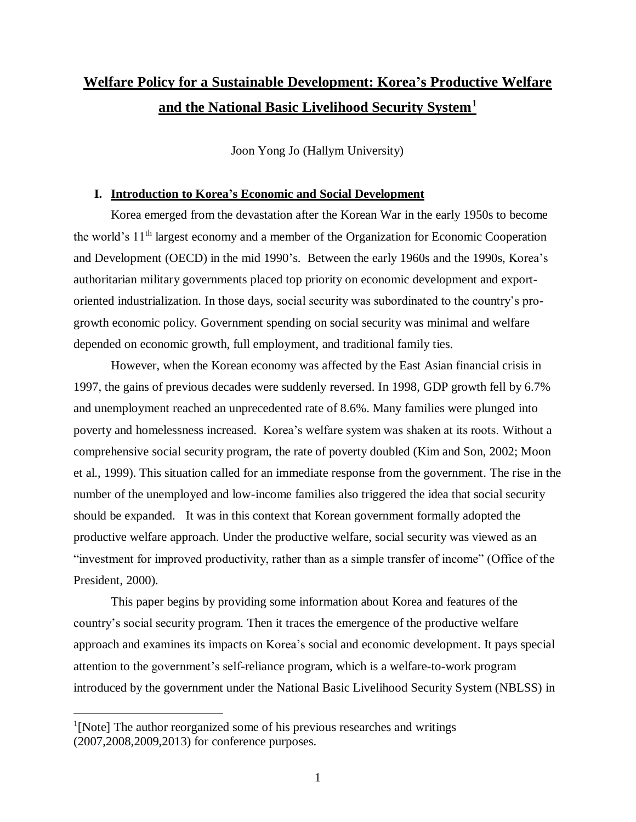# **Welfare Policy for a Sustainable Development: Korea's Productive Welfare and the National Basic Livelihood Security System<sup>1</sup>**

Joon Yong Jo (Hallym University)

# **I. Introduction to Korea's Economic and Social Development**

Korea emerged from the devastation after the Korean War in the early 1950s to become the world's 11th largest economy and a member of the Organization for Economic Cooperation and Development (OECD) in the mid 1990's. Between the early 1960s and the 1990s, Korea's authoritarian military governments placed top priority on economic development and exportoriented industrialization. In those days, social security was subordinated to the country's progrowth economic policy. Government spending on social security was minimal and welfare depended on economic growth, full employment, and traditional family ties.

However, when the Korean economy was affected by the East Asian financial crisis in 1997, the gains of previous decades were suddenly reversed. In 1998, GDP growth fell by 6.7% and unemployment reached an unprecedented rate of 8.6%. Many families were plunged into poverty and homelessness increased. Korea's welfare system was shaken at its roots. Without a comprehensive social security program, the rate of poverty doubled (Kim and Son, 2002; Moon et al., 1999). This situation called for an immediate response from the government. The rise in the number of the unemployed and low-income families also triggered the idea that social security should be expanded. It was in this context that Korean government formally adopted the productive welfare approach. Under the productive welfare, social security was viewed as an "investment for improved productivity, rather than as a simple transfer of income" (Office of the President, 2000).

This paper begins by providing some information about Korea and features of the country's social security program. Then it traces the emergence of the productive welfare approach and examines its impacts on Korea's social and economic development. It pays special attention to the government's self-reliance program, which is a welfare-to-work program introduced by the government under the National Basic Livelihood Security System (NBLSS) in

 $\overline{a}$ 

<sup>&</sup>lt;sup>1</sup>[Note] The author reorganized some of his previous researches and writings (2007,2008,2009,2013) for conference purposes.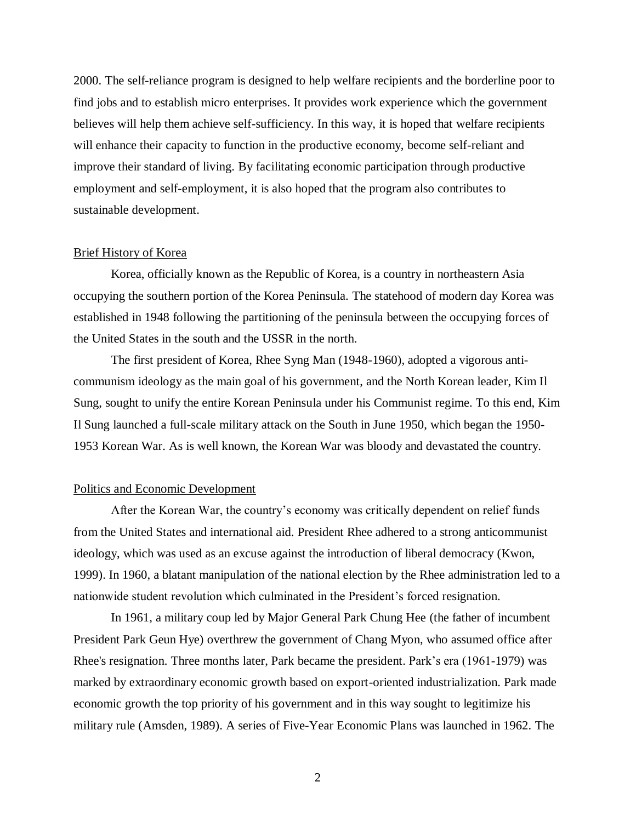2000. The self-reliance program is designed to help welfare recipients and the borderline poor to find jobs and to establish micro enterprises. It provides work experience which the government believes will help them achieve self-sufficiency. In this way, it is hoped that welfare recipients will enhance their capacity to function in the productive economy, become self-reliant and improve their standard of living. By facilitating economic participation through productive employment and self-employment, it is also hoped that the program also contributes to sustainable development.

# Brief History of Korea

Korea, officially known as the Republic of Korea, is a country in northeastern Asia occupying the southern portion of the Korea Peninsula. The statehood of modern day Korea was established in 1948 following the partitioning of the peninsula between the occupying forces of the United States in the south and the USSR in the north.

The first president of Korea, Rhee Syng Man (1948-1960), adopted a vigorous anticommunism ideology as the main goal of his government, and the North Korean leader, Kim Il Sung, sought to unify the entire Korean Peninsula under his Communist regime. To this end, Kim Il Sung launched a full-scale military attack on the South in June 1950, which began the 1950- 1953 Korean War. As is well known, the Korean War was bloody and devastated the country.

# Politics and Economic Development

After the Korean War, the country's economy was critically dependent on relief funds from the United States and international aid. President Rhee adhered to a strong anticommunist ideology, which was used as an excuse against the introduction of liberal democracy (Kwon, 1999). In 1960, a blatant manipulation of the national election by the Rhee administration led to a nationwide student revolution which culminated in the President's forced resignation.

In 1961, a military coup led by Major General Park Chung Hee (the father of incumbent President Park Geun Hye) overthrew the government of Chang Myon, who assumed office after Rhee's resignation. Three months later, Park became the president. Park's era (1961-1979) was marked by extraordinary economic growth based on export-oriented industrialization. Park made economic growth the top priority of his government and in this way sought to legitimize his military rule (Amsden, 1989). A series of Five-Year Economic Plans was launched in 1962. The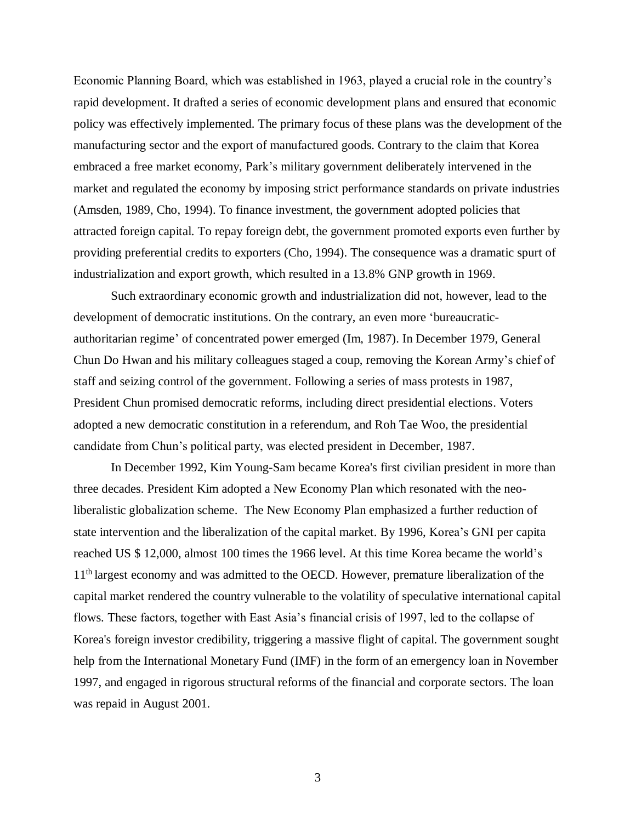Economic Planning Board, which was established in 1963, played a crucial role in the country's rapid development. It drafted a series of economic development plans and ensured that economic policy was effectively implemented. The primary focus of these plans was the development of the manufacturing sector and the export of manufactured goods. Contrary to the claim that Korea embraced a free market economy, Park's military government deliberately intervened in the market and regulated the economy by imposing strict performance standards on private industries (Amsden, 1989, Cho, 1994). To finance investment, the government adopted policies that attracted foreign capital. To repay foreign debt, the government promoted exports even further by providing preferential credits to exporters (Cho, 1994). The consequence was a dramatic spurt of industrialization and export growth, which resulted in a 13.8% GNP growth in 1969.

Such extraordinary economic growth and industrialization did not, however, lead to the development of democratic institutions. On the contrary, an even more 'bureaucraticauthoritarian regime' of concentrated power emerged (Im, 1987). In December 1979, General Chun Do Hwan and his military colleagues staged a coup, removing the Korean Army's chief of staff and seizing control of the government. Following a series of mass protests in 1987, President Chun promised democratic reforms, including direct presidential elections. Voters adopted a new democratic constitution in a referendum, and Roh Tae Woo, the presidential candidate from Chun's political party, was elected president in December, 1987.

In December 1992, Kim Young-Sam became Korea's first civilian president in more than three decades. President Kim adopted a New Economy Plan which resonated with the neoliberalistic globalization scheme. The New Economy Plan emphasized a further reduction of state intervention and the liberalization of the capital market. By 1996, Korea's GNI per capita reached US \$ 12,000, almost 100 times the 1966 level. At this time Korea became the world's 11<sup>th</sup> largest economy and was admitted to the OECD. However, premature liberalization of the capital market rendered the country vulnerable to the volatility of speculative international capital flows. These factors, together with East Asia's financial crisis of 1997, led to the collapse of Korea's foreign investor credibility, triggering a massive flight of capital. The government sought help from the International Monetary Fund (IMF) in the form of an emergency loan in November 1997, and engaged in rigorous structural reforms of the financial and corporate sectors. The loan was repaid in August 2001.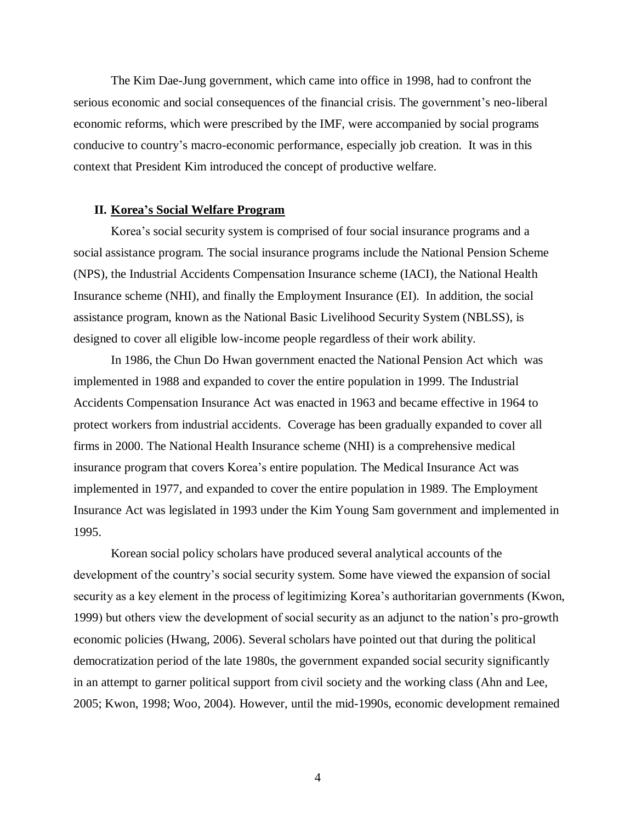The Kim Dae-Jung government, which came into office in 1998, had to confront the serious economic and social consequences of the financial crisis. The government's neo-liberal economic reforms, which were prescribed by the IMF, were accompanied by social programs conducive to country's macro-economic performance, especially job creation. It was in this context that President Kim introduced the concept of productive welfare.

### **II. Korea's Social Welfare Program**

Korea's social security system is comprised of four social insurance programs and a social assistance program. The social insurance programs include the National Pension Scheme (NPS), the Industrial Accidents Compensation Insurance scheme (IACI), the National Health Insurance scheme (NHI), and finally the Employment Insurance (EI). In addition, the social assistance program, known as the National Basic Livelihood Security System (NBLSS), is designed to cover all eligible low-income people regardless of their work ability.

In 1986, the Chun Do Hwan government enacted the National Pension Act which was implemented in 1988 and expanded to cover the entire population in 1999. The Industrial Accidents Compensation Insurance Act was enacted in 1963 and became effective in 1964 to protect workers from industrial accidents. Coverage has been gradually expanded to cover all firms in 2000. The National Health Insurance scheme (NHI) is a comprehensive medical insurance program that covers Korea's entire population. The Medical Insurance Act was implemented in 1977, and expanded to cover the entire population in 1989. The Employment Insurance Act was legislated in 1993 under the Kim Young Sam government and implemented in 1995.

Korean social policy scholars have produced several analytical accounts of the development of the country's social security system. Some have viewed the expansion of social security as a key element in the process of legitimizing Korea's authoritarian governments (Kwon, 1999) but others view the development of social security as an adjunct to the nation's pro-growth economic policies (Hwang, 2006). Several scholars have pointed out that during the political democratization period of the late 1980s, the government expanded social security significantly in an attempt to garner political support from civil society and the working class (Ahn and Lee, 2005; Kwon, 1998; Woo, 2004). However, until the mid-1990s, economic development remained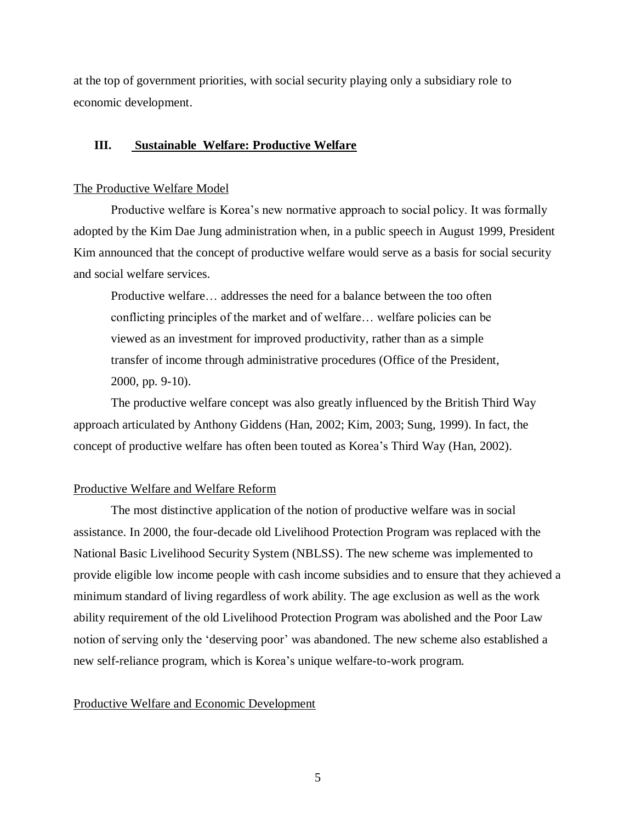at the top of government priorities, with social security playing only a subsidiary role to economic development.

# **III. Sustainable Welfare: Productive Welfare**

# The Productive Welfare Model

Productive welfare is Korea's new normative approach to social policy. It was formally adopted by the Kim Dae Jung administration when, in a public speech in August 1999, President Kim announced that the concept of productive welfare would serve as a basis for social security and social welfare services.

Productive welfare… addresses the need for a balance between the too often conflicting principles of the market and of welfare… welfare policies can be viewed as an investment for improved productivity, rather than as a simple transfer of income through administrative procedures (Office of the President, 2000, pp. 9-10).

The productive welfare concept was also greatly influenced by the British Third Way approach articulated by Anthony Giddens (Han, 2002; Kim, 2003; Sung, 1999). In fact, the concept of productive welfare has often been touted as Korea's Third Way (Han, 2002).

# Productive Welfare and Welfare Reform

The most distinctive application of the notion of productive welfare was in social assistance. In 2000, the four-decade old Livelihood Protection Program was replaced with the National Basic Livelihood Security System (NBLSS). The new scheme was implemented to provide eligible low income people with cash income subsidies and to ensure that they achieved a minimum standard of living regardless of work ability. The age exclusion as well as the work ability requirement of the old Livelihood Protection Program was abolished and the Poor Law notion of serving only the 'deserving poor' was abandoned. The new scheme also established a new self-reliance program, which is Korea's unique welfare-to-work program.

#### Productive Welfare and Economic Development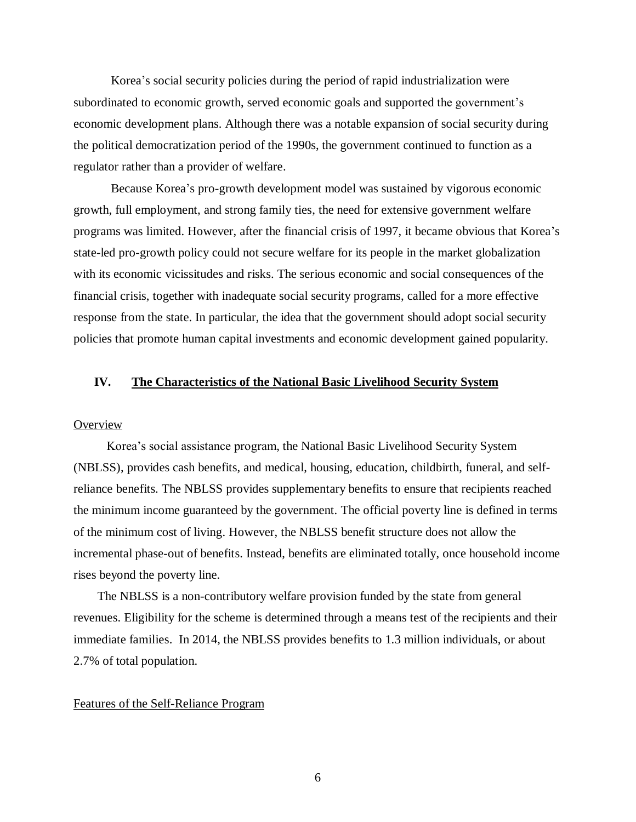Korea's social security policies during the period of rapid industrialization were subordinated to economic growth, served economic goals and supported the government's economic development plans. Although there was a notable expansion of social security during the political democratization period of the 1990s, the government continued to function as a regulator rather than a provider of welfare.

Because Korea's pro-growth development model was sustained by vigorous economic growth, full employment, and strong family ties, the need for extensive government welfare programs was limited. However, after the financial crisis of 1997, it became obvious that Korea's state-led pro-growth policy could not secure welfare for its people in the market globalization with its economic vicissitudes and risks. The serious economic and social consequences of the financial crisis, together with inadequate social security programs, called for a more effective response from the state. In particular, the idea that the government should adopt social security policies that promote human capital investments and economic development gained popularity.

# **IV. The Characteristics of the National Basic Livelihood Security System**

#### **Overview**

Korea's social assistance program, the National Basic Livelihood Security System (NBLSS), provides cash benefits, and medical, housing, education, childbirth, funeral, and selfreliance benefits. The NBLSS provides supplementary benefits to ensure that recipients reached the minimum income guaranteed by the government. The official poverty line is defined in terms of the minimum cost of living. However, the NBLSS benefit structure does not allow the incremental phase-out of benefits. Instead, benefits are eliminated totally, once household income rises beyond the poverty line.

The NBLSS is a non-contributory welfare provision funded by the state from general revenues. Eligibility for the scheme is determined through a means test of the recipients and their immediate families. In 2014, the NBLSS provides benefits to 1.3 million individuals, or about 2.7% of total population.

#### Features of the Self-Reliance Program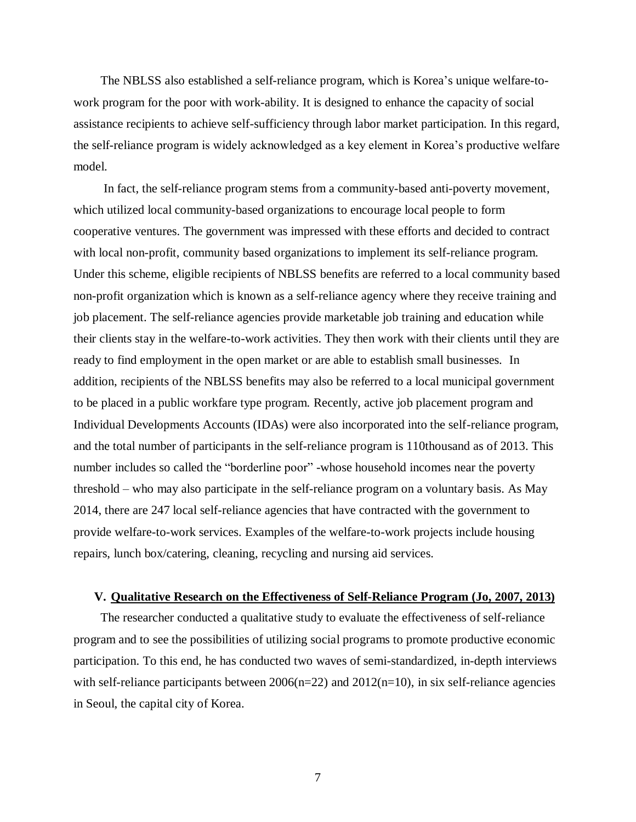The NBLSS also established a self-reliance program, which is Korea's unique welfare-towork program for the poor with work-ability. It is designed to enhance the capacity of social assistance recipients to achieve self-sufficiency through labor market participation. In this regard, the self-reliance program is widely acknowledged as a key element in Korea's productive welfare model.

In fact, the self-reliance program stems from a community-based anti-poverty movement, which utilized local community-based organizations to encourage local people to form cooperative ventures. The government was impressed with these efforts and decided to contract with local non-profit, community based organizations to implement its self-reliance program. Under this scheme, eligible recipients of NBLSS benefits are referred to a local community based non-profit organization which is known as a self-reliance agency where they receive training and job placement. The self-reliance agencies provide marketable job training and education while their clients stay in the welfare-to-work activities. They then work with their clients until they are ready to find employment in the open market or are able to establish small businesses. In addition, recipients of the NBLSS benefits may also be referred to a local municipal government to be placed in a public workfare type program. Recently, active job placement program and Individual Developments Accounts (IDAs) were also incorporated into the self-reliance program, and the total number of participants in the self-reliance program is 110thousand as of 2013. This number includes so called the "borderline poor" -whose household incomes near the poverty threshold – who may also participate in the self-reliance program on a voluntary basis. As May 2014, there are 247 local self-reliance agencies that have contracted with the government to provide welfare-to-work services. Examples of the welfare-to-work projects include housing repairs, lunch box/catering, cleaning, recycling and nursing aid services.

# **V. Qualitative Research on the Effectiveness of Self-Reliance Program (Jo, 2007, 2013)**

The researcher conducted a qualitative study to evaluate the effectiveness of self-reliance program and to see the possibilities of utilizing social programs to promote productive economic participation. To this end, he has conducted two waves of semi-standardized, in-depth interviews with self-reliance participants between  $2006(n=22)$  and  $2012(n=10)$ , in six self-reliance agencies in Seoul, the capital city of Korea.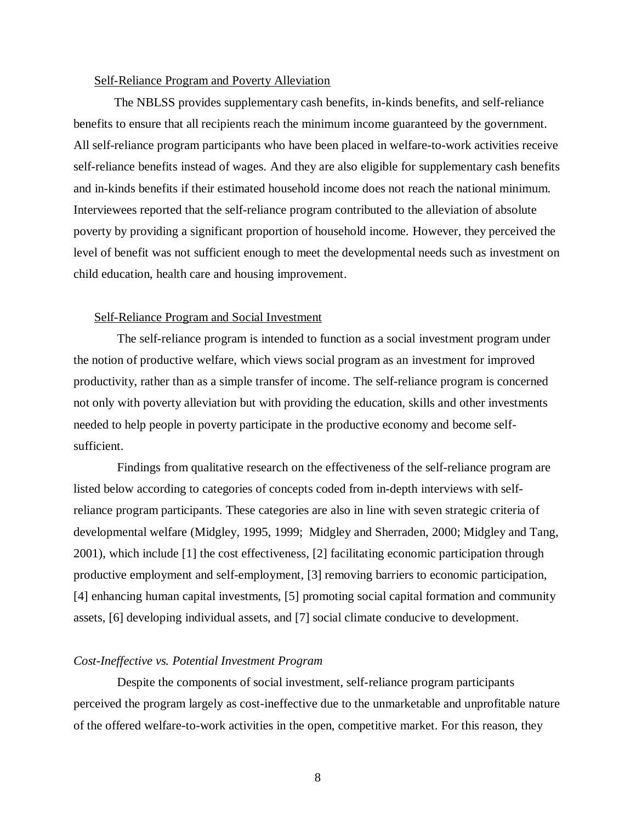#### Self-Reliance Program and Poverty Alleviation

The NBLSS provides supplementary cash benefits, in-kinds benefits, and self-reliance benefits to ensure that all recipients reach the minimum income guaranteed by the government. All self-reliance program participants who have been placed in welfare-to-work activities receive self-reliance benefits instead of wages. And they are also eligible for supplementary cash benefits and in-kinds benefits if their estimated household income does not reach the national minimum. Interviewees reported that the self-reliance program contributed to the alleviation of absolute poverty by providing a significant proportion of household income. However, they perceived the level of benefit was not sufficient enough to meet the developmental needs such as investment on child education, health care and housing improvement.

# Self-Reliance Program and Social Investment

The self-reliance program is intended to function as a social investment program under the notion of productive welfare, which views social program as an investment for improved productivity, rather than as a simple transfer of income. The self-reliance program is concerned not only with poverty alleviation but with providing the education, skills and other investments needed to help people in poverty participate in the productive economy and become selfsufficient.

Findings from qualitative research on the effectiveness of the self-reliance program are listed below according to categories of concepts coded from in-depth interviews with selfreliance program participants. These categories are also in line with seven strategic criteria of developmental welfare (Midgley, 1995, 1999; Midgley and Sherraden, 2000; Midgley and Tang, 2001), which include [1] the cost effectiveness, [2] facilitating economic participation through productive employment and self-employment, [3] removing barriers to economic participation, [4] enhancing human capital investments, [5] promoting social capital formation and community assets, [6] developing individual assets, and [7] social climate conducive to development.

#### *Cost-Ineffective vs. Potential Investment Program*

Despite the components of social investment, self-reliance program participants perceived the program largely as cost-ineffective due to the unmarketable and unprofitable nature of the offered welfare-to-work activities in the open, competitive market. For this reason, they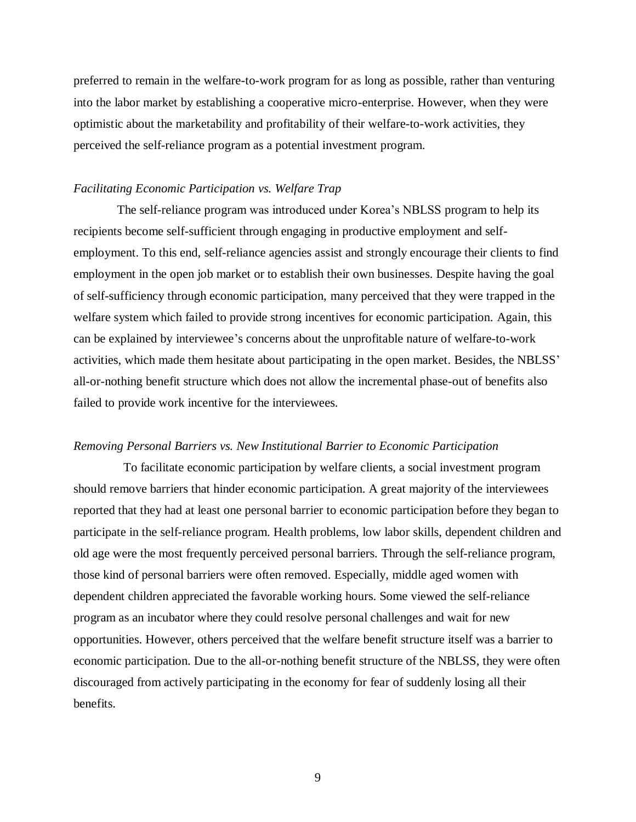preferred to remain in the welfare-to-work program for as long as possible, rather than venturing into the labor market by establishing a cooperative micro-enterprise. However, when they were optimistic about the marketability and profitability of their welfare-to-work activities, they perceived the self-reliance program as a potential investment program.

# *Facilitating Economic Participation vs. Welfare Trap*

The self-reliance program was introduced under Korea's NBLSS program to help its recipients become self-sufficient through engaging in productive employment and selfemployment. To this end, self-reliance agencies assist and strongly encourage their clients to find employment in the open job market or to establish their own businesses. Despite having the goal of self-sufficiency through economic participation, many perceived that they were trapped in the welfare system which failed to provide strong incentives for economic participation. Again, this can be explained by interviewee's concerns about the unprofitable nature of welfare-to-work activities, which made them hesitate about participating in the open market. Besides, the NBLSS' all-or-nothing benefit structure which does not allow the incremental phase-out of benefits also failed to provide work incentive for the interviewees.

#### *Removing Personal Barriers vs. New Institutional Barrier to Economic Participation*

To facilitate economic participation by welfare clients, a social investment program should remove barriers that hinder economic participation. A great majority of the interviewees reported that they had at least one personal barrier to economic participation before they began to participate in the self-reliance program. Health problems, low labor skills, dependent children and old age were the most frequently perceived personal barriers. Through the self-reliance program, those kind of personal barriers were often removed. Especially, middle aged women with dependent children appreciated the favorable working hours. Some viewed the self-reliance program as an incubator where they could resolve personal challenges and wait for new opportunities. However, others perceived that the welfare benefit structure itself was a barrier to economic participation. Due to the all-or-nothing benefit structure of the NBLSS, they were often discouraged from actively participating in the economy for fear of suddenly losing all their benefits.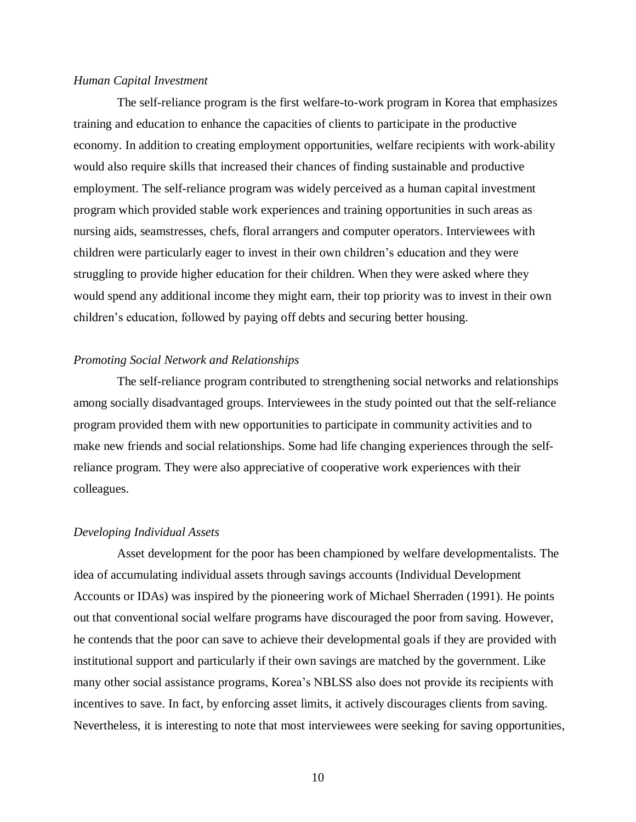# *Human Capital Investment*

The self-reliance program is the first welfare-to-work program in Korea that emphasizes training and education to enhance the capacities of clients to participate in the productive economy. In addition to creating employment opportunities, welfare recipients with work-ability would also require skills that increased their chances of finding sustainable and productive employment. The self-reliance program was widely perceived as a human capital investment program which provided stable work experiences and training opportunities in such areas as nursing aids, seamstresses, chefs, floral arrangers and computer operators. Interviewees with children were particularly eager to invest in their own children's education and they were struggling to provide higher education for their children. When they were asked where they would spend any additional income they might earn, their top priority was to invest in their own children's education, followed by paying off debts and securing better housing.

# *Promoting Social Network and Relationships*

The self-reliance program contributed to strengthening social networks and relationships among socially disadvantaged groups. Interviewees in the study pointed out that the self-reliance program provided them with new opportunities to participate in community activities and to make new friends and social relationships. Some had life changing experiences through the selfreliance program. They were also appreciative of cooperative work experiences with their colleagues.

# *Developing Individual Assets*

Asset development for the poor has been championed by welfare developmentalists. The idea of accumulating individual assets through savings accounts (Individual Development Accounts or IDAs) was inspired by the pioneering work of Michael Sherraden (1991). He points out that conventional social welfare programs have discouraged the poor from saving. However, he contends that the poor can save to achieve their developmental goals if they are provided with institutional support and particularly if their own savings are matched by the government. Like many other social assistance programs, Korea's NBLSS also does not provide its recipients with incentives to save. In fact, by enforcing asset limits, it actively discourages clients from saving. Nevertheless, it is interesting to note that most interviewees were seeking for saving opportunities,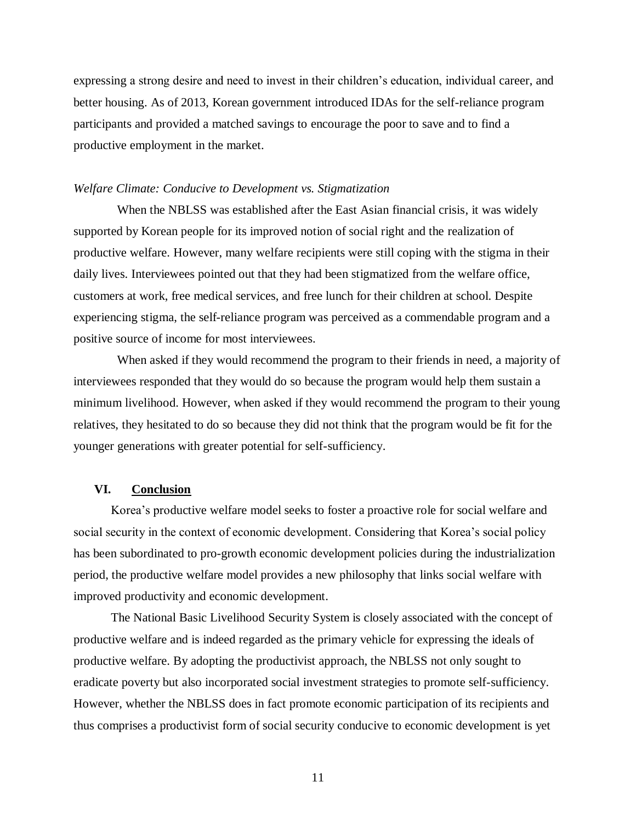expressing a strong desire and need to invest in their children's education, individual career, and better housing. As of 2013, Korean government introduced IDAs for the self-reliance program participants and provided a matched savings to encourage the poor to save and to find a productive employment in the market.

# *Welfare Climate: Conducive to Development vs. Stigmatization*

When the NBLSS was established after the East Asian financial crisis, it was widely supported by Korean people for its improved notion of social right and the realization of productive welfare. However, many welfare recipients were still coping with the stigma in their daily lives. Interviewees pointed out that they had been stigmatized from the welfare office, customers at work, free medical services, and free lunch for their children at school. Despite experiencing stigma, the self-reliance program was perceived as a commendable program and a positive source of income for most interviewees.

When asked if they would recommend the program to their friends in need, a majority of interviewees responded that they would do so because the program would help them sustain a minimum livelihood. However, when asked if they would recommend the program to their young relatives, they hesitated to do so because they did not think that the program would be fit for the younger generations with greater potential for self-sufficiency.

#### **VI. Conclusion**

Korea's productive welfare model seeks to foster a proactive role for social welfare and social security in the context of economic development. Considering that Korea's social policy has been subordinated to pro-growth economic development policies during the industrialization period, the productive welfare model provides a new philosophy that links social welfare with improved productivity and economic development.

The National Basic Livelihood Security System is closely associated with the concept of productive welfare and is indeed regarded as the primary vehicle for expressing the ideals of productive welfare. By adopting the productivist approach, the NBLSS not only sought to eradicate poverty but also incorporated social investment strategies to promote self-sufficiency. However, whether the NBLSS does in fact promote economic participation of its recipients and thus comprises a productivist form of social security conducive to economic development is yet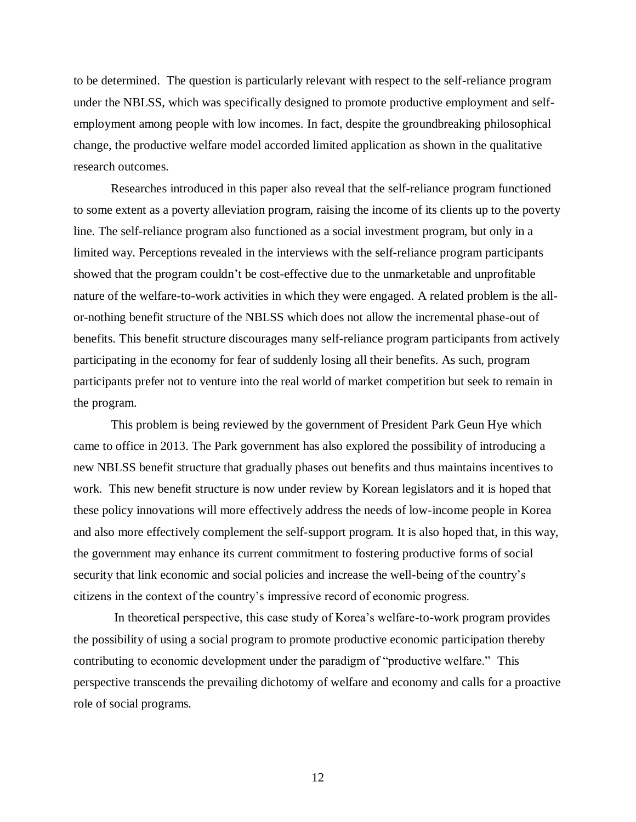to be determined. The question is particularly relevant with respect to the self-reliance program under the NBLSS, which was specifically designed to promote productive employment and selfemployment among people with low incomes. In fact, despite the groundbreaking philosophical change, the productive welfare model accorded limited application as shown in the qualitative research outcomes.

Researches introduced in this paper also reveal that the self-reliance program functioned to some extent as a poverty alleviation program, raising the income of its clients up to the poverty line. The self-reliance program also functioned as a social investment program, but only in a limited way. Perceptions revealed in the interviews with the self-reliance program participants showed that the program couldn't be cost-effective due to the unmarketable and unprofitable nature of the welfare-to-work activities in which they were engaged. A related problem is the allor-nothing benefit structure of the NBLSS which does not allow the incremental phase-out of benefits. This benefit structure discourages many self-reliance program participants from actively participating in the economy for fear of suddenly losing all their benefits. As such, program participants prefer not to venture into the real world of market competition but seek to remain in the program.

This problem is being reviewed by the government of President Park Geun Hye which came to office in 2013. The Park government has also explored the possibility of introducing a new NBLSS benefit structure that gradually phases out benefits and thus maintains incentives to work. This new benefit structure is now under review by Korean legislators and it is hoped that these policy innovations will more effectively address the needs of low-income people in Korea and also more effectively complement the self-support program. It is also hoped that, in this way, the government may enhance its current commitment to fostering productive forms of social security that link economic and social policies and increase the well-being of the country's citizens in the context of the country's impressive record of economic progress.

In theoretical perspective, this case study of Korea's welfare-to-work program provides the possibility of using a social program to promote productive economic participation thereby contributing to economic development under the paradigm of "productive welfare." This perspective transcends the prevailing dichotomy of welfare and economy and calls for a proactive role of social programs.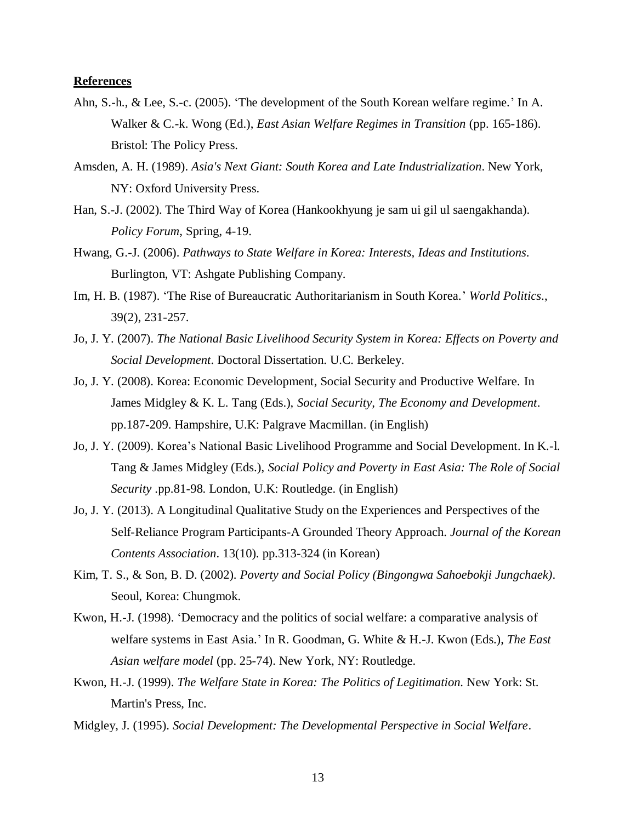# **References**

- Ahn, S.-h., & Lee, S.-c. (2005). 'The development of the South Korean welfare regime.' In A. Walker & C.-k. Wong (Ed.), *East Asian Welfare Regimes in Transition* (pp. 165-186). Bristol: The Policy Press.
- Amsden, A. H. (1989). *Asia's Next Giant: South Korea and Late Industrialization*. New York, NY: Oxford University Press.
- Han, S.-J. (2002). The Third Way of Korea (Hankookhyung je sam ui gil ul saengakhanda). *Policy Forum*, Spring, 4-19.
- Hwang, G.-J. (2006). *Pathways to State Welfare in Korea: Interests, Ideas and Institutions*. Burlington, VT: Ashgate Publishing Company.
- Im, H. B. (1987). 'The Rise of Bureaucratic Authoritarianism in South Korea.' *World Politics*., 39(2), 231-257.
- Jo, J. Y. (2007). *The National Basic Livelihood Security System in Korea: Effects on Poverty and Social Development*. Doctoral Dissertation. U.C. Berkeley.
- Jo, J. Y. (2008). Korea: Economic Development, Social Security and Productive Welfare. In James Midgley & K. L. Tang (Eds.), *Social Security, The Economy and Development*. pp.187-209. Hampshire, U.K: Palgrave Macmillan. (in English)
- Jo, J. Y. (2009). Korea's National Basic Livelihood Programme and Social Development. In K.-l. Tang & James Midgley (Eds.), *Social Policy and Poverty in East Asia: The Role of Social Security* .pp.81-98. London, U.K: Routledge. (in English)
- Jo, J. Y. (2013). A Longitudinal Qualitative Study on the Experiences and Perspectives of the Self-Reliance Program Participants-A Grounded Theory Approach. *Journal of the Korean Contents Association*. 13(10). pp.313-324 (in Korean)
- Kim, T. S., & Son, B. D. (2002). *Poverty and Social Policy (Bingongwa Sahoebokji Jungchaek)*. Seoul, Korea: Chungmok.
- Kwon, H.-J. (1998). 'Democracy and the politics of social welfare: a comparative analysis of welfare systems in East Asia.' In R. Goodman, G. White & H.-J. Kwon (Eds.), *The East Asian welfare model* (pp. 25-74). New York, NY: Routledge.
- Kwon, H.-J. (1999). *The Welfare State in Korea: The Politics of Legitimation*. New York: St. Martin's Press, Inc.
- Midgley, J. (1995). *Social Development: The Developmental Perspective in Social Welfare*.